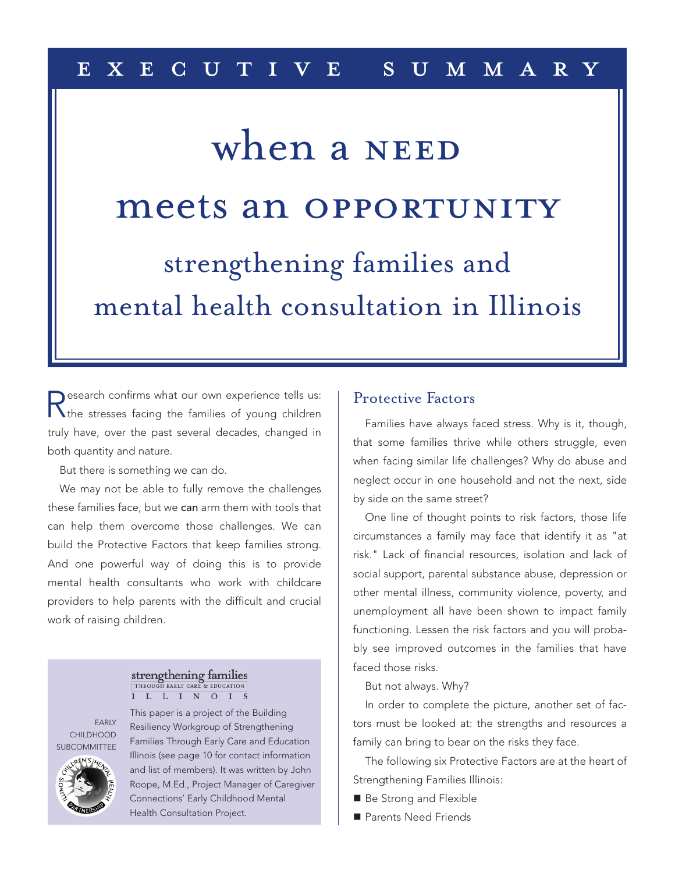## e x e c u t i v e s u m m a r y

## strengthening families and mental health consultation in Illinois meets an OPPORTUNITY when a NEED

Research confirms what our own experience tells us:<br>The stresses facing the families of young children truly have, over the past several decades, changed in both quantity and nature.

But there is something we can do.

We may not be able to fully remove the challenges these families face, but we can arm them with tools that can help them overcome those challenges. We can build the Protective Factors that keep families strong. And one powerful way of doing this is to provide mental health consultants who work with childcare providers to help parents with the difficult and crucial work of raising children.

#### strengthening families THROUGH EARLY CARE **SE EDUCATION** I L L I N O I S

EARLY CHILDHOOD **SUBCOMMITTEE** 



This paper is a project of the Building Resiliency Workgroup of Strengthening Families Through Early Care and Education Illinois (see page 10 for contact information and list of members). It was written by John Roope, M.Ed., Project Manager of Caregiver Connections' Early Childhood Mental Health Consultation Project.

### Protective Factors

Families have always faced stress. Why is it, though, that some families thrive while others struggle, even when facing similar life challenges? Why do abuse and neglect occur in one household and not the next, side by side on the same street?

One line of thought points to risk factors, those life circumstances a family may face that identify it as "at risk." Lack of financial resources, isolation and lack of social support, parental substance abuse, depression or other mental illness, community violence, poverty, and unemployment all have been shown to impact family functioning. Lessen the risk factors and you will probably see improved outcomes in the families that have faced those risks.

#### But not always. Why?

In order to complete the picture, another set of factors must be looked at: the strengths and resources a family can bring to bear on the risks they face.

The following six Protective Factors are at the heart of Strengthening Families Illinois:

- Be Strong and Flexible
- Parents Need Friends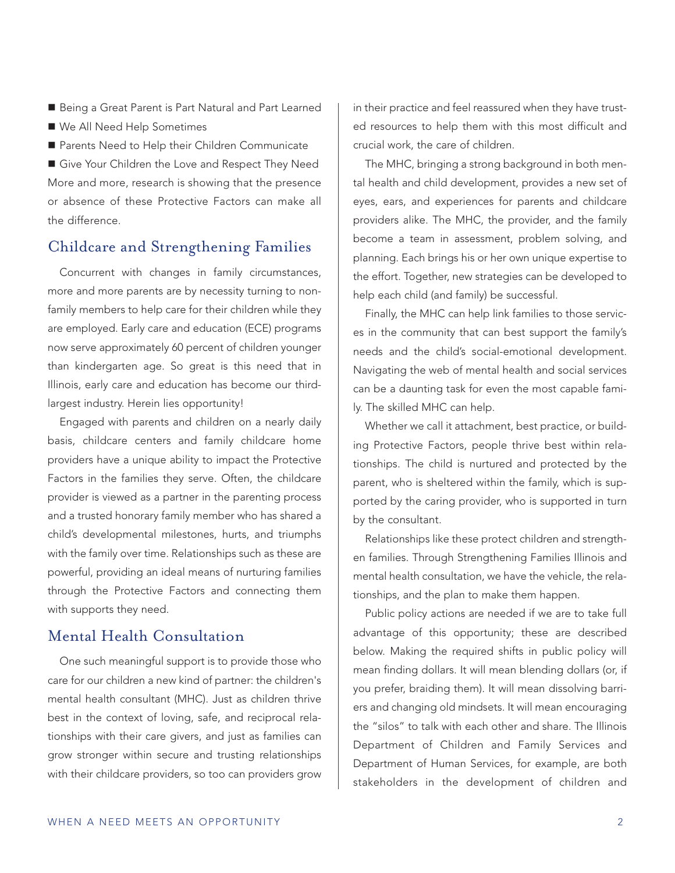- Being a Great Parent is Part Natural and Part Learned
- We All Need Help Sometimes
- Parents Need to Help their Children Communicate

Give Your Children the Love and Respect They Need More and more, research is showing that the presence or absence of these Protective Factors can make all the difference.

### Childcare and Strengthening Families

Concurrent with changes in family circumstances, more and more parents are by necessity turning to nonfamily members to help care for their children while they are employed. Early care and education (ECE) programs now serve approximately 60 percent of children younger than kindergarten age. So great is this need that in Illinois, early care and education has become our thirdlargest industry. Herein lies opportunity!

Engaged with parents and children on a nearly daily basis, childcare centers and family childcare home providers have a unique ability to impact the Protective Factors in the families they serve. Often, the childcare provider is viewed as a partner in the parenting process and a trusted honorary family member who has shared a child's developmental milestones, hurts, and triumphs with the family over time. Relationships such as these are powerful, providing an ideal means of nurturing families through the Protective Factors and connecting them with supports they need.

## Mental Health Consultation

One such meaningful support is to provide those who care for our children a new kind of partner: the children's mental health consultant (MHC). Just as children thrive best in the context of loving, safe, and reciprocal relationships with their care givers, and just as families can grow stronger within secure and trusting relationships with their childcare providers, so too can providers grow in their practice and feel reassured when they have trusted resources to help them with this most difficult and crucial work, the care of children.

The MHC, bringing a strong background in both mental health and child development, provides a new set of eyes, ears, and experiences for parents and childcare providers alike. The MHC, the provider, and the family become a team in assessment, problem solving, and planning. Each brings his or her own unique expertise to the effort. Together, new strategies can be developed to help each child (and family) be successful.

Finally, the MHC can help link families to those services in the community that can best support the family's needs and the child's social-emotional development. Navigating the web of mental health and social services can be a daunting task for even the most capable family. The skilled MHC can help.

Whether we call it attachment, best practice, or building Protective Factors, people thrive best within relationships. The child is nurtured and protected by the parent, who is sheltered within the family, which is supported by the caring provider, who is supported in turn by the consultant.

Relationships like these protect children and strengthen families. Through Strengthening Families Illinois and mental health consultation, we have the vehicle, the relationships, and the plan to make them happen.

Public policy actions are needed if we are to take full advantage of this opportunity; these are described below. Making the required shifts in public policy will mean finding dollars. It will mean blending dollars (or, if you prefer, braiding them). It will mean dissolving barriers and changing old mindsets. It will mean encouraging the "silos" to talk with each other and share. The Illinois Department of Children and Family Services and Department of Human Services, for example, are both stakeholders in the development of children and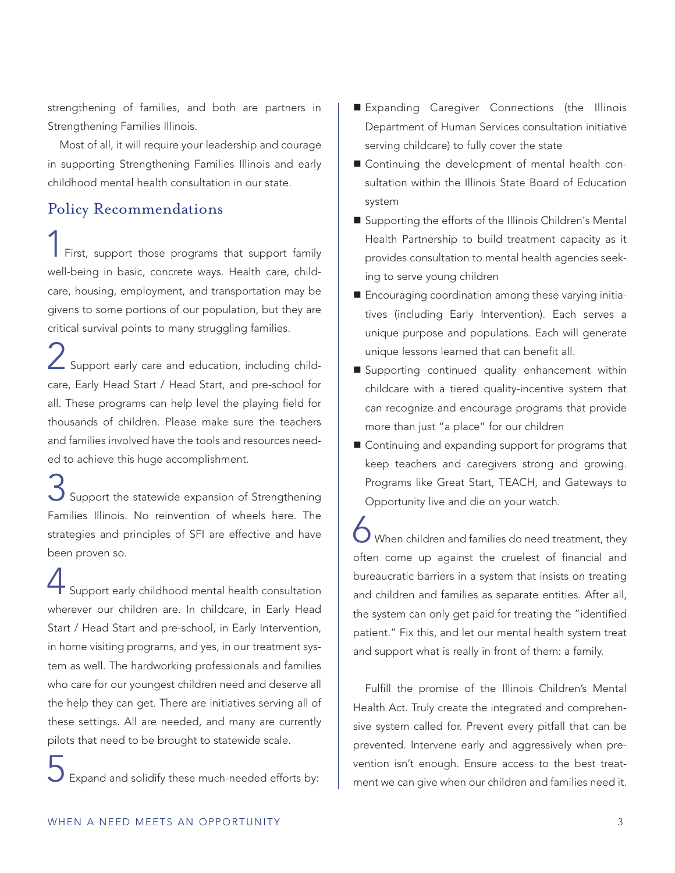strengthening of families, and both are partners in Strengthening Families Illinois.

Most of all, it will require your leadership and courage in supporting Strengthening Families Illinois and early childhood mental health consultation in our state.

## Policy Recommendations

First, support those programs that support family well-being in basic, concrete ways. Health care, childcare, housing, employment, and transportation may be givens to some portions of our population, but they are critical survival points to many struggling families.

Support early care and education, including childcare, Early Head Start / Head Start, and pre-school for all. These programs can help level the playing field for thousands of children. Please make sure the teachers and families involved have the tools and resources needed to achieve this huge accomplishment.

Support the statewide expansion of Strengthening Families Illinois. No reinvention of wheels here. The strategies and principles of SFI are effective and have been proven so.

Support early childhood mental health consultation wherever our children are. In childcare, in Early Head Start / Head Start and pre-school, in Early Intervention, in home visiting programs, and yes, in our treatment system as well. The hardworking professionals and families who care for our youngest children need and deserve all the help they can get. There are initiatives serving all of these settings. All are needed, and many are currently pilots that need to be brought to statewide scale.

5 Expand and solidify these much-needed efforts by:

- Expanding Caregiver Connections (the Illinois Department of Human Services consultation initiative serving childcare) to fully cover the state
- Continuing the development of mental health consultation within the Illinois State Board of Education system
- Supporting the efforts of the Illinois Children's Mental Health Partnership to build treatment capacity as it provides consultation to mental health agencies seeking to serve young children
- Encouraging coordination among these varying initiatives (including Early Intervention). Each serves a unique purpose and populations. Each will generate unique lessons learned that can benefit all.
- Supporting continued quality enhancement within childcare with a tiered quality-incentive system that can recognize and encourage programs that provide more than just "a place" for our children
- Continuing and expanding support for programs that keep teachers and caregivers strong and growing. Programs like Great Start, TEACH, and Gateways to Opportunity live and die on your watch.

 $\bigcirc$  When children and families do need treatment, they often come up against the cruelest of financial and bureaucratic barriers in a system that insists on treating and children and families as separate entities. After all, the system can only get paid for treating the "identified patient." Fix this, and let our mental health system treat and support what is really in front of them: a family.

Fulfill the promise of the Illinois Children's Mental Health Act. Truly create the integrated and comprehensive system called for. Prevent every pitfall that can be prevented. Intervene early and aggressively when prevention isn't enough. Ensure access to the best treatment we can give when our children and families need it.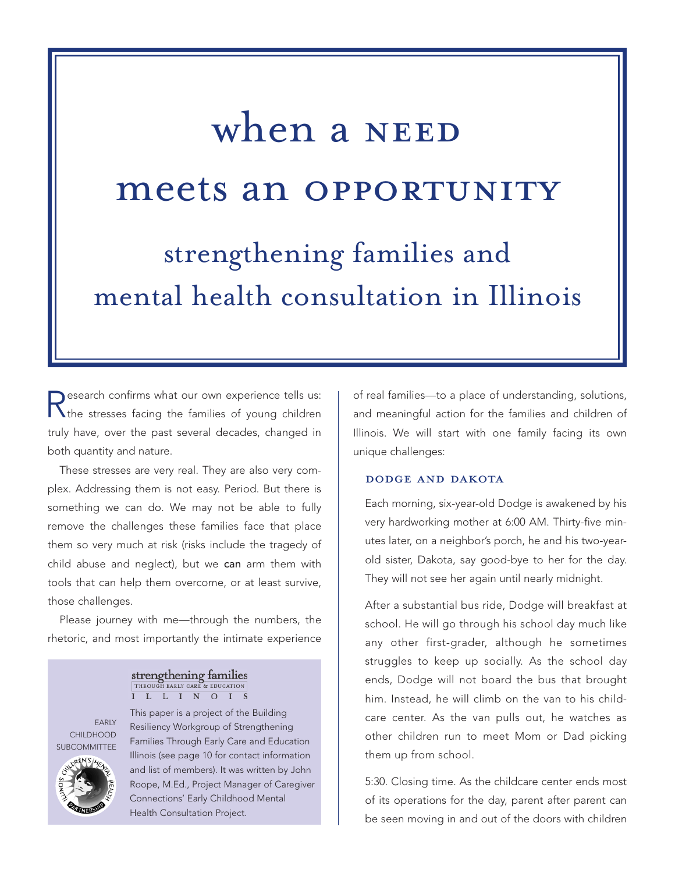# strengthening families and meets an OPPORTUNITY when a NEED

mental health consultation in Illinois

Research confirms what our own experience tells us:<br>The stresses facing the families of young children truly have, over the past several decades, changed in both quantity and nature.

These stresses are very real. They are also very complex. Addressing them is not easy. Period. But there is something we can do. We may not be able to fully remove the challenges these families face that place them so very much at risk (risks include the tragedy of child abuse and neglect), but we can arm them with tools that can help them overcome, or at least survive, those challenges.

Please journey with me—through the numbers, the rhetoric, and most importantly the intimate experience

#### strengthening families THROUGH EARLY CARE **EDUCATION** I L L I N O I S

EARLY CHILDHOOD SUBCOMMITTEE



This paper is a project of the Building Resiliency Workgroup of Strengthening Families Through Early Care and Education Illinois (see page 10 for contact information and list of members). It was written by John Roope, M.Ed., Project Manager of Caregiver Connections' Early Childhood Mental Health Consultation Project.

of real families—to a place of understanding, solutions, and meaningful action for the families and children of Illinois. We will start with one family facing its own unique challenges:

#### dodge and dakota

Each morning, six-year-old Dodge is awakened by his very hardworking mother at 6:00 AM. Thirty-five minutes later, on a neighbor's porch, he and his two-yearold sister, Dakota, say good-bye to her for the day. They will not see her again until nearly midnight.

After a substantial bus ride, Dodge will breakfast at school. He will go through his school day much like any other first-grader, although he sometimes struggles to keep up socially. As the school day ends, Dodge will not board the bus that brought him. Instead, he will climb on the van to his childcare center. As the van pulls out, he watches as other children run to meet Mom or Dad picking them up from school.

5:30. Closing time. As the childcare center ends most of its operations for the day, parent after parent can be seen moving in and out of the doors with children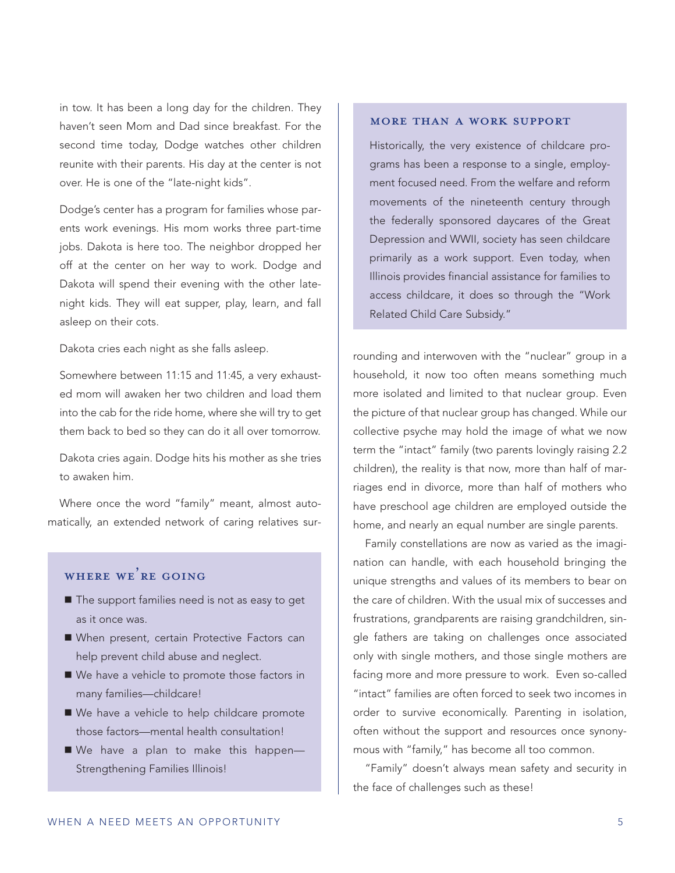in tow. It has been a long day for the children. They haven't seen Mom and Dad since breakfast. For the second time today, Dodge watches other children reunite with their parents. His day at the center is not over. He is one of the "late-night kids".

Dodge's center has a program for families whose parents work evenings. His mom works three part-time jobs. Dakota is here too. The neighbor dropped her off at the center on her way to work. Dodge and Dakota will spend their evening with the other latenight kids. They will eat supper, play, learn, and fall asleep on their cots.

Dakota cries each night as she falls asleep.

Somewhere between 11:15 and 11:45, a very exhausted mom will awaken her two children and load them into the cab for the ride home, where she will try to get them back to bed so they can do it all over tomorrow.

Dakota cries again. Dodge hits his mother as she tries to awaken him.

Where once the word "family" meant, almost automatically, an extended network of caring relatives sur-

## WHERE WE'RE GOING

- The support families need is not as easy to get as it once was.
- When present, certain Protective Factors can help prevent child abuse and neglect.
- We have a vehicle to promote those factors in many families—childcare!
- We have a vehicle to help childcare promote those factors—mental health consultation!
- We have a plan to make this happen-Strengthening Families Illinois!

#### more than a work support

Historically, the very existence of childcare programs has been a response to a single, employment focused need. From the welfare and reform movements of the nineteenth century through the federally sponsored daycares of the Great Depression and WWII, society has seen childcare primarily as a work support. Even today, when Illinois provides financial assistance for families to access childcare, it does so through the "Work Related Child Care Subsidy."

rounding and interwoven with the "nuclear" group in a household, it now too often means something much more isolated and limited to that nuclear group. Even the picture of that nuclear group has changed. While our collective psyche may hold the image of what we now term the "intact" family (two parents lovingly raising 2.2 children), the reality is that now, more than half of marriages end in divorce, more than half of mothers who have preschool age children are employed outside the home, and nearly an equal number are single parents.

Family constellations are now as varied as the imagination can handle, with each household bringing the unique strengths and values of its members to bear on the care of children. With the usual mix of successes and frustrations, grandparents are raising grandchildren, single fathers are taking on challenges once associated only with single mothers, and those single mothers are facing more and more pressure to work. Even so-called "intact" families are often forced to seek two incomes in order to survive economically. Parenting in isolation, often without the support and resources once synonymous with "family," has become all too common.

"Family" doesn't always mean safety and security in the face of challenges such as these!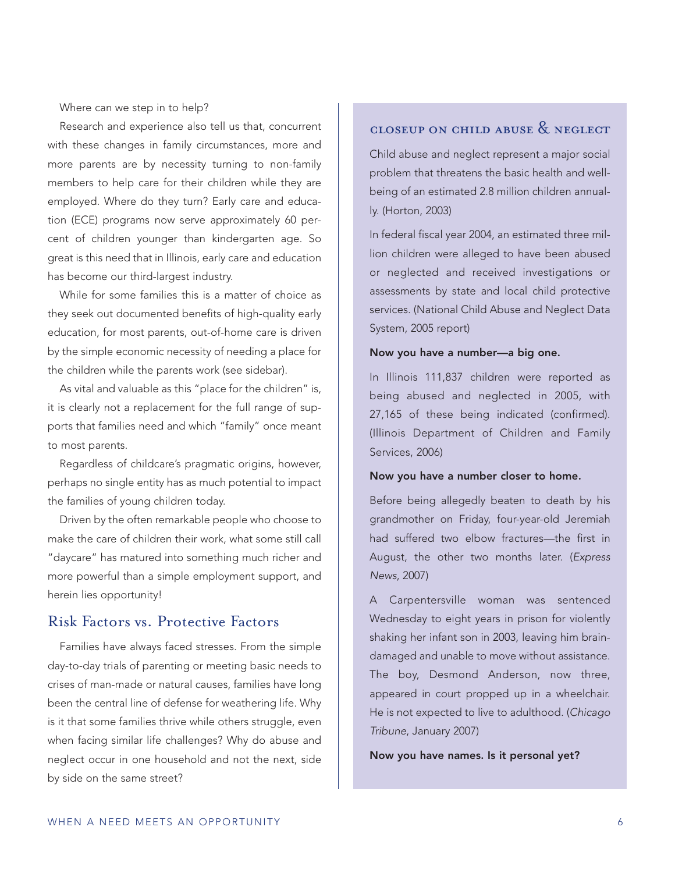Where can we step in to help?

Research and experience also tell us that, concurrent with these changes in family circumstances, more and more parents are by necessity turning to non-family members to help care for their children while they are employed. Where do they turn? Early care and education (ECE) programs now serve approximately 60 percent of children younger than kindergarten age. So great is this need that in Illinois, early care and education has become our third-largest industry.

While for some families this is a matter of choice as they seek out documented benefits of high-quality early education, for most parents, out-of-home care is driven by the simple economic necessity of needing a place for the children while the parents work (see sidebar).

As vital and valuable as this "place for the children" is, it is clearly not a replacement for the full range of supports that families need and which "family" once meant to most parents.

Regardless of childcare's pragmatic origins, however, perhaps no single entity has as much potential to impact the families of young children today.

Driven by the often remarkable people who choose to make the care of children their work, what some still call "daycare" has matured into something much richer and more powerful than a simple employment support, and herein lies opportunity!

#### Risk Factors vs. Protective Factors

Families have always faced stresses. From the simple day-to-day trials of parenting or meeting basic needs to crises of man-made or natural causes, families have long been the central line of defense for weathering life. Why is it that some families thrive while others struggle, even when facing similar life challenges? Why do abuse and neglect occur in one household and not the next, side by side on the same street?

## closeup on child abuse & neglect

Child abuse and neglect represent a major social problem that threatens the basic health and wellbeing of an estimated 2.8 million children annually. (Horton, 2003)

In federal fiscal year 2004, an estimated three million children were alleged to have been abused or neglected and received investigations or assessments by state and local child protective services. (National Child Abuse and Neglect Data System, 2005 report)

#### Now you have a number—a big one.

In Illinois 111,837 children were reported as being abused and neglected in 2005, with 27,165 of these being indicated (confirmed). (Illinois Department of Children and Family Services, 2006)

#### Now you have a number closer to home.

Before being allegedly beaten to death by his grandmother on Friday, four-year-old Jeremiah had suffered two elbow fractures—the first in August, the other two months later. (*Express News*, 2007)

A Carpentersville woman was sentenced Wednesday to eight years in prison for violently shaking her infant son in 2003, leaving him braindamaged and unable to move without assistance. The boy, Desmond Anderson, now three, appeared in court propped up in a wheelchair. He is not expected to live to adulthood. (*Chicago Tribune*, January 2007)

Now you have names. Is it personal yet?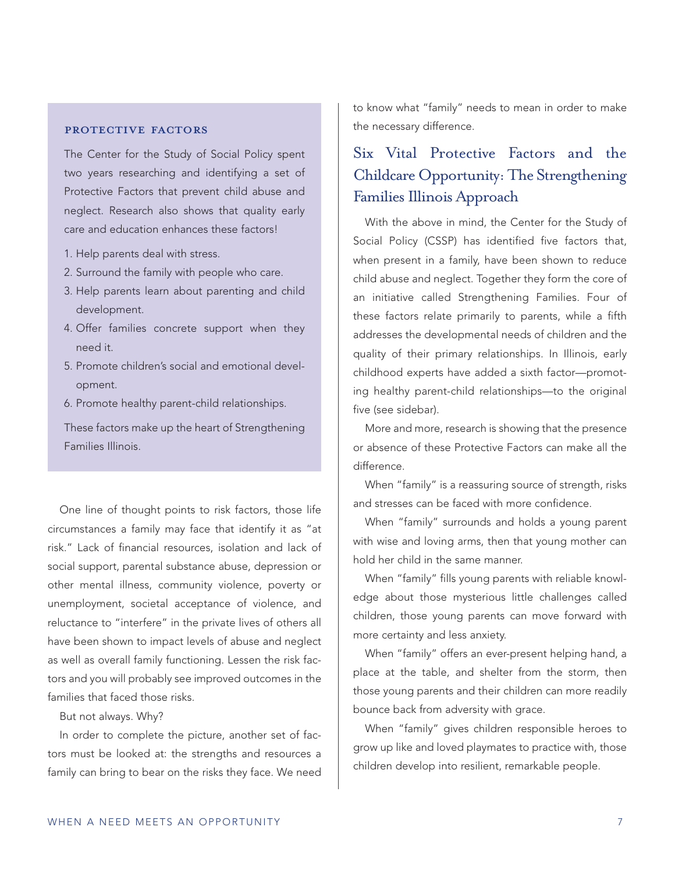#### PROTECTIVE FACTORS

The Center for the Study of Social Policy spent two years researching and identifying a set of Protective Factors that prevent child abuse and neglect. Research also shows that quality early care and education enhances these factors!

- 1. Help parents deal with stress.
- 2. Surround the family with people who care.
- 3. Help parents learn about parenting and child development.
- 4. Offer families concrete support when they need it.
- 5. Promote children's social and emotional development.
- 6. Promote healthy parent-child relationships.

These factors make up the heart of Strengthening Families Illinois.

One line of thought points to risk factors, those life circumstances a family may face that identify it as "at risk." Lack of financial resources, isolation and lack of social support, parental substance abuse, depression or other mental illness, community violence, poverty or unemployment, societal acceptance of violence, and reluctance to "interfere" in the private lives of others all have been shown to impact levels of abuse and neglect as well as overall family functioning. Lessen the risk factors and you will probably see improved outcomes in the families that faced those risks.

But not always. Why?

In order to complete the picture, another set of factors must be looked at: the strengths and resources a family can bring to bear on the risks they face. We need to know what "family" needs to mean in order to make the necessary difference.

## Six Vital Protective Factors and the Childcare Opportunity:The Strengthening Families Illinois Approach

With the above in mind, the Center for the Study of Social Policy (CSSP) has identified five factors that, when present in a family, have been shown to reduce child abuse and neglect. Together they form the core of an initiative called Strengthening Families. Four of these factors relate primarily to parents, while a fifth addresses the developmental needs of children and the quality of their primary relationships. In Illinois, early childhood experts have added a sixth factor—promoting healthy parent-child relationships—to the original five (see sidebar).

More and more, research is showing that the presence or absence of these Protective Factors can make all the difference.

When "family" is a reassuring source of strength, risks and stresses can be faced with more confidence.

When "family" surrounds and holds a young parent with wise and loving arms, then that young mother can hold her child in the same manner.

When "family" fills young parents with reliable knowledge about those mysterious little challenges called children, those young parents can move forward with more certainty and less anxiety.

When "family" offers an ever-present helping hand, a place at the table, and shelter from the storm, then those young parents and their children can more readily bounce back from adversity with grace.

When "family" gives children responsible heroes to grow up like and loved playmates to practice with, those children develop into resilient, remarkable people.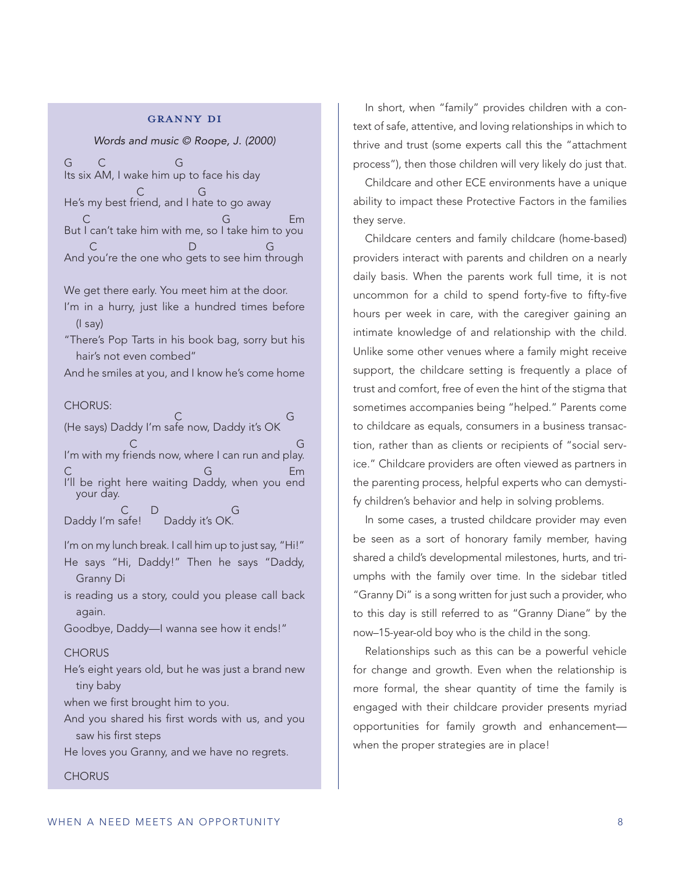#### granny di

*Words and music © Roope, J. (2000)*

G C G Its six AM, I wake him up to face his day C G He's my best friend, and I hate to go away C G Em But I can't take him with me, so I take him to you C D G And you're the one who gets to see him through

We get there early. You meet him at the door.

I'm in a hurry, just like a hundred times before (I say)

"There's Pop Tarts in his book bag, sorry but his hair's not even combed"

And he smiles at you, and I know he's come home

CHORUS:

C G (He says) Daddy I'm safe now, Daddy it's OK C<sub>2</sub> G<sub>2</sub> I'm with my friends now, where I can run and play. C Employees G Employees G Employees Employees G Employees Employees G Employees Employees Employees Employees I'll be right here waiting Daddy, when you end your day. C D G Daddy I'm safe! Daddy it's OK.

I'm on my lunch break. I call him up to just say, "Hi!"

He says "Hi, Daddy!" Then he says "Daddy, Granny Di

is reading us a story, could you please call back again.

Goodbye, Daddy—I wanna see how it ends!"

#### **CHORUS**

**CHORUS** 

He's eight years old, but he was just a brand new tiny baby

when we first brought him to you.

And you shared his first words with us, and you saw his first steps

He loves you Granny, and we have no regrets.

In short, when "family" provides children with a context of safe, attentive, and loving relationships in which to thrive and trust (some experts call this the "attachment process"), then those children will very likely do just that.

Childcare and other ECE environments have a unique ability to impact these Protective Factors in the families they serve.

Childcare centers and family childcare (home-based) providers interact with parents and children on a nearly daily basis. When the parents work full time, it is not uncommon for a child to spend forty-five to fifty-five hours per week in care, with the caregiver gaining an intimate knowledge of and relationship with the child. Unlike some other venues where a family might receive support, the childcare setting is frequently a place of trust and comfort, free of even the hint of the stigma that sometimes accompanies being "helped." Parents come to childcare as equals, consumers in a business transaction, rather than as clients or recipients of "social service." Childcare providers are often viewed as partners in the parenting process, helpful experts who can demystify children's behavior and help in solving problems.

In some cases, a trusted childcare provider may even be seen as a sort of honorary family member, having shared a child's developmental milestones, hurts, and triumphs with the family over time. In the sidebar titled "Granny Di" is a song written for just such a provider, who to this day is still referred to as "Granny Diane" by the now–15-year-old boy who is the child in the song.

Relationships such as this can be a powerful vehicle for change and growth. Even when the relationship is more formal, the shear quantity of time the family is engaged with their childcare provider presents myriad opportunities for family growth and enhancement when the proper strategies are in place!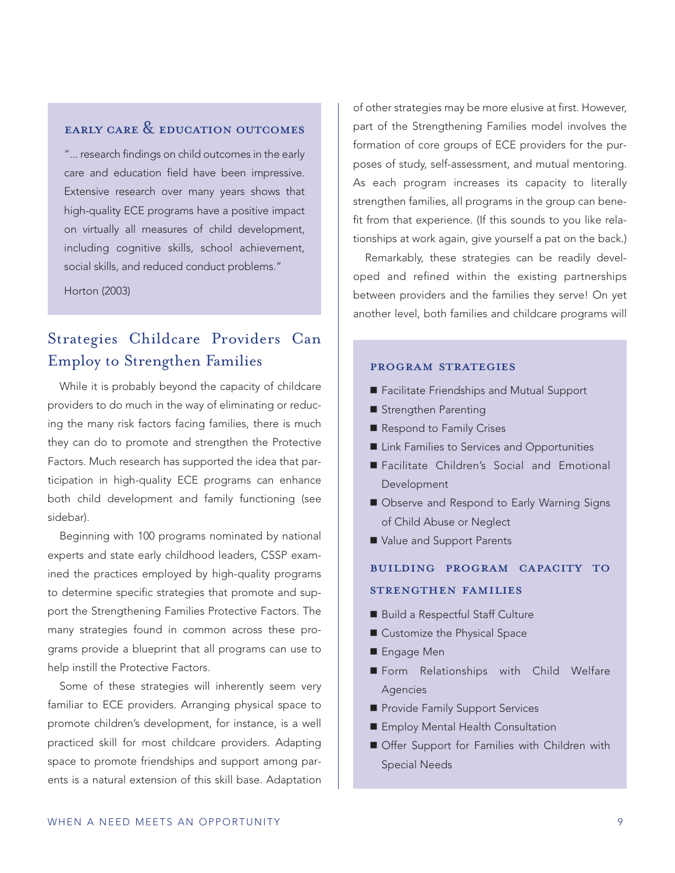## early care & education outcomes

"... research findings on child outcomes in the early care and education field have been impressive. Extensive research over many years shows that high-quality ECE programs have a positive impact on virtually all measures of child development, including cognitive skills, school achievement, social skills, and reduced conduct problems."

Horton (2003)

## Strategies Childcare Providers Can Employ to Strengthen Families

While it is probably beyond the capacity of childcare providers to do much in the way of eliminating or reducing the many risk factors facing families, there is much they can do to promote and strengthen the Protective Factors. Much research has supported the idea that participation in high-quality ECE programs can enhance both child development and family functioning (see sidebar).

Beginning with 100 programs nominated by national experts and state early childhood leaders, CSSP examined the practices employed by high-quality programs to determine specific strategies that promote and support the Strengthening Families Protective Factors. The many strategies found in common across these programs provide a blueprint that all programs can use to help instill the Protective Factors.

Some of these strategies will inherently seem very familiar to ECE providers. Arranging physical space to promote children's development, for instance, is a well practiced skill for most childcare providers. Adapting space to promote friendships and support among parents is a natural extension of this skill base. Adaptation

of other strategies may be more elusive at first. However, part of the Strengthening Families model involves the formation of core groups of ECE providers for the purposes of study, self-assessment, and mutual mentoring. As each program increases its capacity to literally strengthen families, all programs in the group can benefit from that experience. (If this sounds to you like relationships at work again, give yourself a pat on the back.)

Remarkably, these strategies can be readily developed and refined within the existing partnerships between providers and the families they serve! On yet another level, both families and childcare programs will

#### program strategies

- Facilitate Friendships and Mutual Support
- Strengthen Parenting
- Respond to Family Crises
- **E** Link Families to Services and Opportunities
- Facilitate Children's Social and Emotional Development
- Observe and Respond to Early Warning Signs of Child Abuse or Neglect
- Value and Support Parents

## building program capacity to strengthen families

- Build a Respectful Staff Culture
- Customize the Physical Space
- Engage Men
- Form Relationships with Child Welfare Agencies
- Provide Family Support Services
- Employ Mental Health Consultation
- Offer Support for Families with Children with Special Needs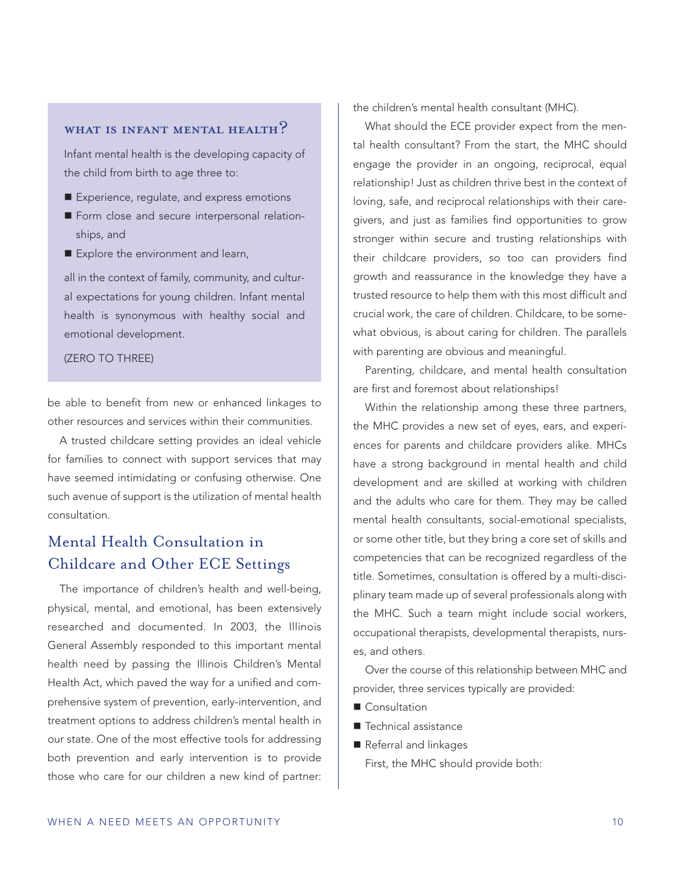## WHAT IS INFANT MENTAL HEALTH?

Infant mental health is the developing capacity of the child from birth to age three to:

- Experience, regulate, and express emotions
- Form close and secure interpersonal relationships, and
- Explore the environment and learn,

all in the context of family, community, and cultural expectations for young children. Infant mental health is synonymous with healthy social and emotional development.

#### (ZERO TO THREE)

be able to benefit from new or enhanced linkages to other resources and services within their communities.

A trusted childcare setting provides an ideal vehicle for families to connect with support services that may have seemed intimidating or confusing otherwise. One such avenue of support is the utilization of mental health consultation.

## Mental Health Consultation in Childcare and Other ECE Settings

The importance of children's health and well-being, physical, mental, and emotional, has been extensively researched and documented. In 2003, the Illinois General Assembly responded to this important mental health need by passing the Illinois Children's Mental Health Act, which paved the way for a unified and comprehensive system of prevention, early-intervention, and treatment options to address children's mental health in our state. One of the most effective tools for addressing both prevention and early intervention is to provide those who care for our children a new kind of partner: the children's mental health consultant (MHC).

What should the ECE provider expect from the mental health consultant? From the start, the MHC should engage the provider in an ongoing, reciprocal, equal relationship! Just as children thrive best in the context of loving, safe, and reciprocal relationships with their caregivers, and just as families find opportunities to grow stronger within secure and trusting relationships with their childcare providers, so too can providers find growth and reassurance in the knowledge they have a trusted resource to help them with this most difficult and crucial work, the care of children. Childcare, to be somewhat obvious, is about caring for children. The parallels with parenting are obvious and meaningful.

Parenting, childcare, and mental health consultation are first and foremost about relationships!

Within the relationship among these three partners, the MHC provides a new set of eyes, ears, and experiences for parents and childcare providers alike. MHCs have a strong background in mental health and child development and are skilled at working with children and the adults who care for them. They may be called mental health consultants, social-emotional specialists, or some other title, but they bring a core set of skills and competencies that can be recognized regardless of the title. Sometimes, consultation is offered by a multi-disciplinary team made up of several professionals along with the MHC. Such a team might include social workers, occupational therapists, developmental therapists, nurses, and others.

Over the course of this relationship between MHC and provider, three services typically are provided:

- Consultation
- Technical assistance
- Referral and linkages

First, the MHC should provide both: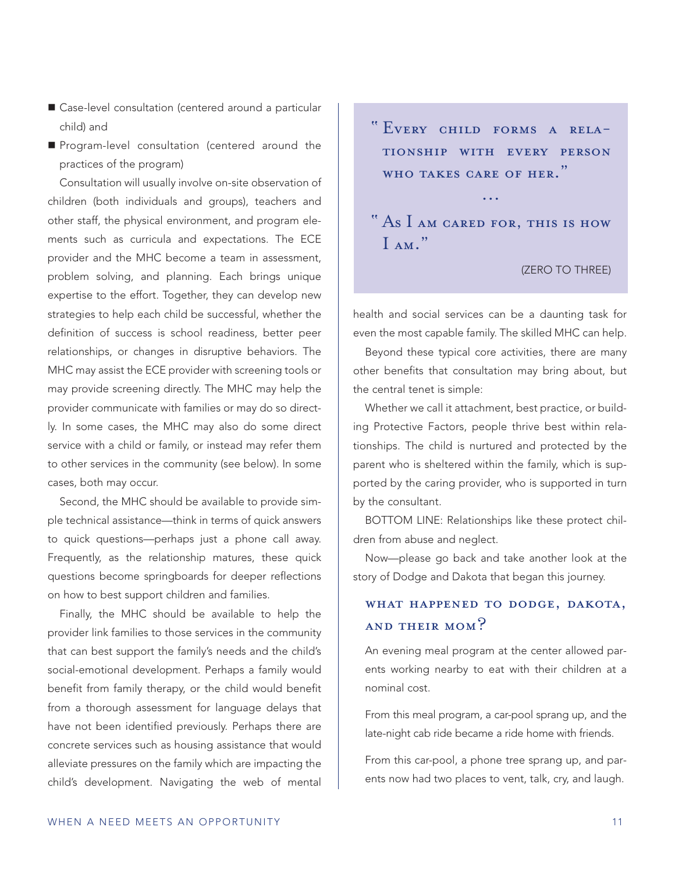- Case-level consultation (centered around a particular child) and
- **Program-level consultation (centered around the** practices of the program)

Consultation will usually involve on-site observation of children (both individuals and groups), teachers and other staff, the physical environment, and program elements such as curricula and expectations. The ECE provider and the MHC become a team in assessment, problem solving, and planning. Each brings unique expertise to the effort. Together, they can develop new strategies to help each child be successful, whether the definition of success is school readiness, better peer relationships, or changes in disruptive behaviors. The MHC may assist the ECE provider with screening tools or may provide screening directly. The MHC may help the provider communicate with families or may do so directly. In some cases, the MHC may also do some direct service with a child or family, or instead may refer them to other services in the community (see below). In some cases, both may occur.

Second, the MHC should be available to provide simple technical assistance—think in terms of quick answers to quick questions—perhaps just a phone call away. Frequently, as the relationship matures, these quick questions become springboards for deeper reflections on how to best support children and families.

Finally, the MHC should be available to help the provider link families to those services in the community that can best support the family's needs and the child's social-emotional development. Perhaps a family would benefit from family therapy, or the child would benefit from a thorough assessment for language delays that have not been identified previously. Perhaps there are concrete services such as housing assistance that would alleviate pressures on the family which are impacting the child's development. Navigating the web of mental

" Every child forms a relationship with every person WHO TAKES CARE OF HER."

...

## " As I am cared for, this is how  $I_{AM}$ "

#### (ZERO TO THREE)

health and social services can be a daunting task for even the most capable family. The skilled MHC can help.

Beyond these typical core activities, there are many other benefits that consultation may bring about, but the central tenet is simple:

Whether we call it attachment, best practice, or building Protective Factors, people thrive best within relationships. The child is nurtured and protected by the parent who is sheltered within the family, which is supported by the caring provider, who is supported in turn by the consultant.

BOTTOM LINE: Relationships like these protect children from abuse and neglect.

Now—please go back and take another look at the story of Dodge and Dakota that began this journey.

## WHAT HAPPENED TO DODGE, DAKOTA, and their mom?

An evening meal program at the center allowed parents working nearby to eat with their children at a nominal cost.

From this meal program, a car-pool sprang up, and the late-night cab ride became a ride home with friends.

From this car-pool, a phone tree sprang up, and parents now had two places to vent, talk, cry, and laugh.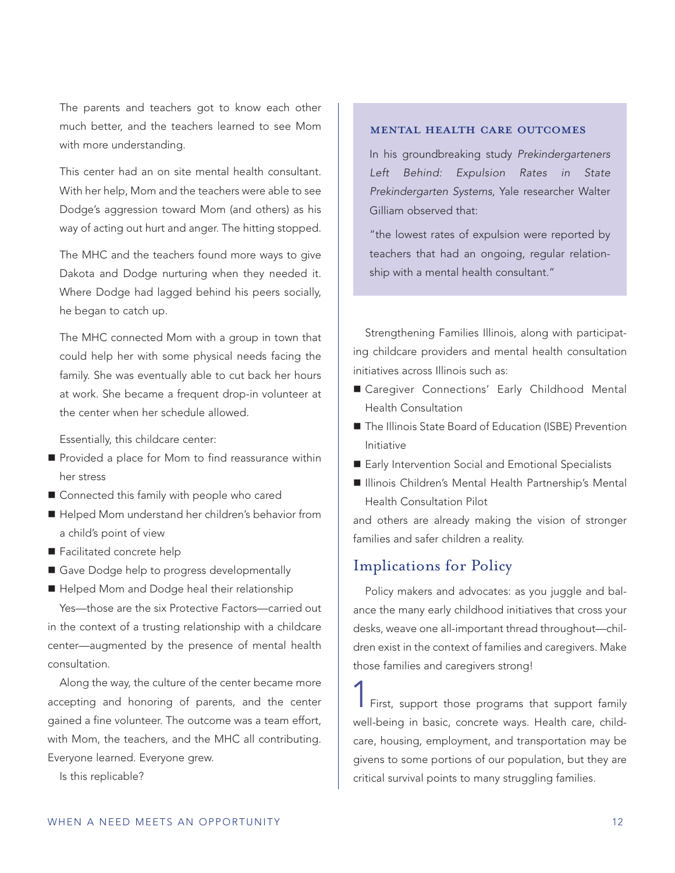The parents and teachers got to know each other much better, and the teachers learned to see Mom with more understanding.

This center had an on site mental health consultant. With her help, Mom and the teachers were able to see Dodge's aggression toward Mom (and others) as his way of acting out hurt and anger. The hitting stopped.

The MHC and the teachers found more ways to give Dakota and Dodge nurturing when they needed it. Where Dodge had lagged behind his peers socially, he began to catch up.

The MHC connected Mom with a group in town that could help her with some physical needs facing the family. She was eventually able to cut back her hours at work. She became a frequent drop-in volunteer at the center when her schedule allowed.

Essentially, this childcare center:

- **Provided a place for Mom to find reassurance within** her stress
- Connected this family with people who cared
- Helped Mom understand her children's behavior from a child's point of view
- Facilitated concrete help
- Gave Dodge help to progress developmentally
- Helped Mom and Dodge heal their relationship

Yes—those are the six Protective Factors—carried out in the context of a trusting relationship with a childcare center—augmented by the presence of mental health consultation.

Along the way, the culture of the center became more accepting and honoring of parents, and the center gained a fine volunteer. The outcome was a team effort, with Mom, the teachers, and the MHC all contributing. Everyone learned. Everyone grew.

Is this replicable?

#### mental health care outcomes

In his groundbreaking study *Prekindergarteners Left Behind: Expulsion Rates in State Prekindergarten Systems*, Yale researcher Walter Gilliam observed that:

"the lowest rates of expulsion were reported by teachers that had an ongoing, regular relationship with a mental health consultant."

Strengthening Families Illinois, along with participating childcare providers and mental health consultation initiatives across Illinois such as:

- Caregiver Connections' Early Childhood Mental Health Consultation
- The Illinois State Board of Education (ISBE) Prevention Initiative
- Early Intervention Social and Emotional Specialists
- Illinois Children's Mental Health Partnership's Mental Health Consultation Pilot

and others are already making the vision of stronger families and safer children a reality.

### Implications for Policy

Policy makers and advocates: as you juggle and balance the many early childhood initiatives that cross your desks, weave one all-important thread throughout—children exist in the context of families and caregivers. Make those families and caregivers strong!

First, support those programs that support family well-being in basic, concrete ways. Health care, childcare, housing, employment, and transportation may be givens to some portions of our population, but they are critical survival points to many struggling families.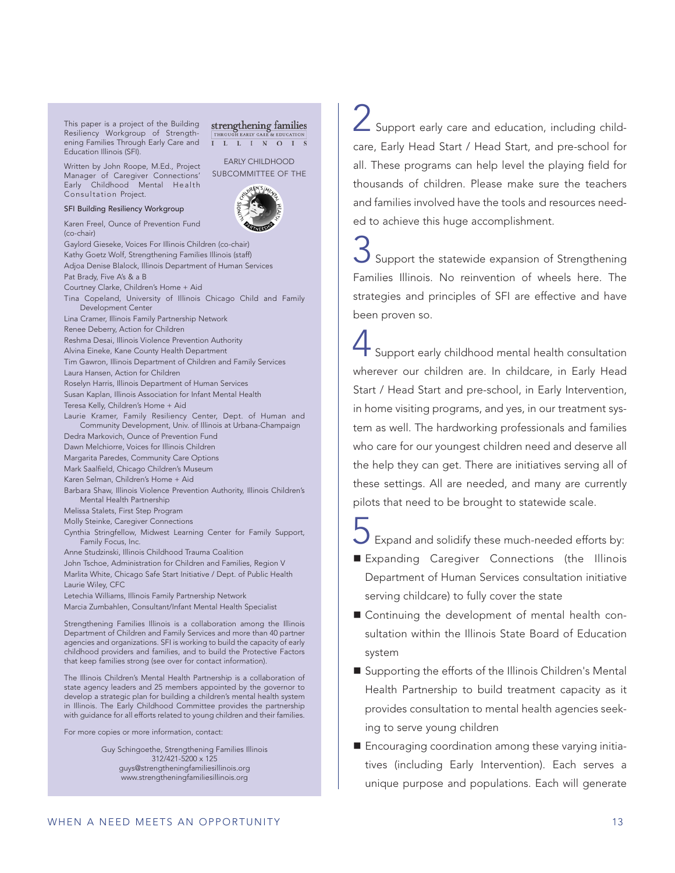This paper is a project of the Building Resiliency Workgroup of Strengthening Families Through Early Care and Education Illinois (SFI).

Written by John Roope, M.Ed., Project Manager of Caregiver Connections' Early Childhood Mental Health Consultation Project.

SFI Building Resiliency Workgroup

Karen Freel, Ounce of Prevention Fund (co-chair)

Gaylord Gieseke, Voices For Illinois Children (co-chair) Kathy Goetz Wolf, Strengthening Families Illinois (staff) Adjoa Denise Blalock, Illinois Department of Human Services Pat Brady, Five A's & a B Courtney Clarke, Children's Home + Aid Tina Copeland, University of Illinois Chicago Child and Family Development Center Lina Cramer, Illinois Family Partnership Network Renee Deberry, Action for Children Reshma Desai, Illinois Violence Prevention Authority Alvina Eineke, Kane County Health Department Tim Gawron, Illinois Department of Children and Family Services Laura Hansen, Action for Children Roselyn Harris, Illinois Department of Human Services Susan Kaplan, Illinois Association for Infant Mental Health Teresa Kelly, Children's Home + Aid Laurie Kramer, Family Resiliency Center, Dept. of Human and Community Development, Univ. of Illinois at Urbana-Champaign Dedra Markovich, Ounce of Prevention Fund Dawn Melchiorre, Voices for Illinois Children Margarita Paredes, Community Care Options Mark Saalfield, Chicago Children's Museum Karen Selman, Children's Home + Aid Barbara Shaw, Illinois Violence Prevention Authority, Illinois Children's Mental Health Partnership Melissa Stalets, First Step Program Molly Steinke, Caregiver Connections Cynthia Stringfellow, Midwest Learning Center for Family Support, Family Focus, Inc.

EARLY CHILDHOOD SUBCOMMITTEE OF THE

strengthening families I L L I N O I S

Anne Studzinski, Illinois Childhood Trauma Coalition

John Tschoe, Administration for Children and Families, Region V Marlita White, Chicago Safe Start Initiative / Dept. of Public Health Laurie Wiley, CFC

Letechia Williams, Illinois Family Partnership Network Marcia Zumbahlen, Consultant/Infant Mental Health Specialist

Strengthening Families Illinois is a collaboration among the Illinois Department of Children and Family Services and more than 40 partner agencies and organizations. SFI is working to build the capacity of early childhood providers and families, and to build the Protective Factors that keep families strong (see over for contact information).

The Illinois Children's Mental Health Partnership is a collaboration of state agency leaders and 25 members appointed by the governor to develop a strategic plan for building a children's mental health system in Illinois. The Early Childhood Committee provides the partnership with guidance for all efforts related to young children and their families.

For more copies or more information, contact:

Guy Schingoethe, Strengthening Families Illinois 312/421-5200 x 125 guys@strengtheningfamiliesillinois.org www.strengtheningfamiliesillinois.org

Support early care and education, including childcare, Early Head Start / Head Start, and pre-school for all. These programs can help level the playing field for thousands of children. Please make sure the teachers and families involved have the tools and resources needed to achieve this huge accomplishment.

Support the statewide expansion of Strengthening Families Illinois. No reinvention of wheels here. The strategies and principles of SFI are effective and have been proven so.

Support early childhood mental health consultation wherever our children are. In childcare, in Early Head Start / Head Start and pre-school, in Early Intervention, in home visiting programs, and yes, in our treatment system as well. The hardworking professionals and families who care for our youngest children need and deserve all the help they can get. There are initiatives serving all of these settings. All are needed, and many are currently pilots that need to be brought to statewide scale.

Expand and solidify these much-needed efforts by:

- Expanding Caregiver Connections (the Illinois Department of Human Services consultation initiative serving childcare) to fully cover the state
- Continuing the development of mental health consultation within the Illinois State Board of Education system
- Supporting the efforts of the Illinois Children's Mental Health Partnership to build treatment capacity as it provides consultation to mental health agencies seeking to serve young children
- Encouraging coordination among these varying initiatives (including Early Intervention). Each serves a unique purpose and populations. Each will generate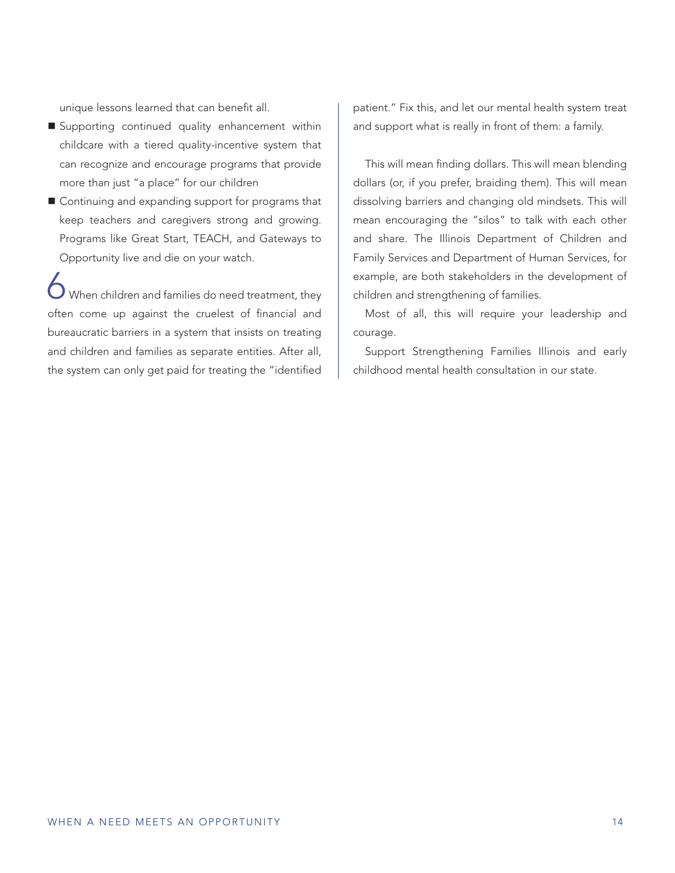unique lessons learned that can benefit all.

- Supporting continued quality enhancement within childcare with a tiered quality-incentive system that can recognize and encourage programs that provide more than just "a place" for our children
- Continuing and expanding support for programs that keep teachers and caregivers strong and growing. Programs like Great Start, TEACH, and Gateways to Opportunity live and die on your watch.

When children and families do need treatment, they often come up against the cruelest of financial and bureaucratic barriers in a system that insists on treating and children and families as separate entities. After all, the system can only get paid for treating the "identified

patient." Fix this, and let our mental health system treat and support what is really in front of them: a family.

This will mean finding dollars. This will mean blending dollars (or, if you prefer, braiding them). This will mean dissolving barriers and changing old mindsets. This will mean encouraging the "silos" to talk with each other and share. The Illinois Department of Children and Family Services and Department of Human Services, for example, are both stakeholders in the development of children and strengthening of families.

Most of all, this will require your leadership and courage.

Support Strengthening Families Illinois and early childhood mental health consultation in our state.